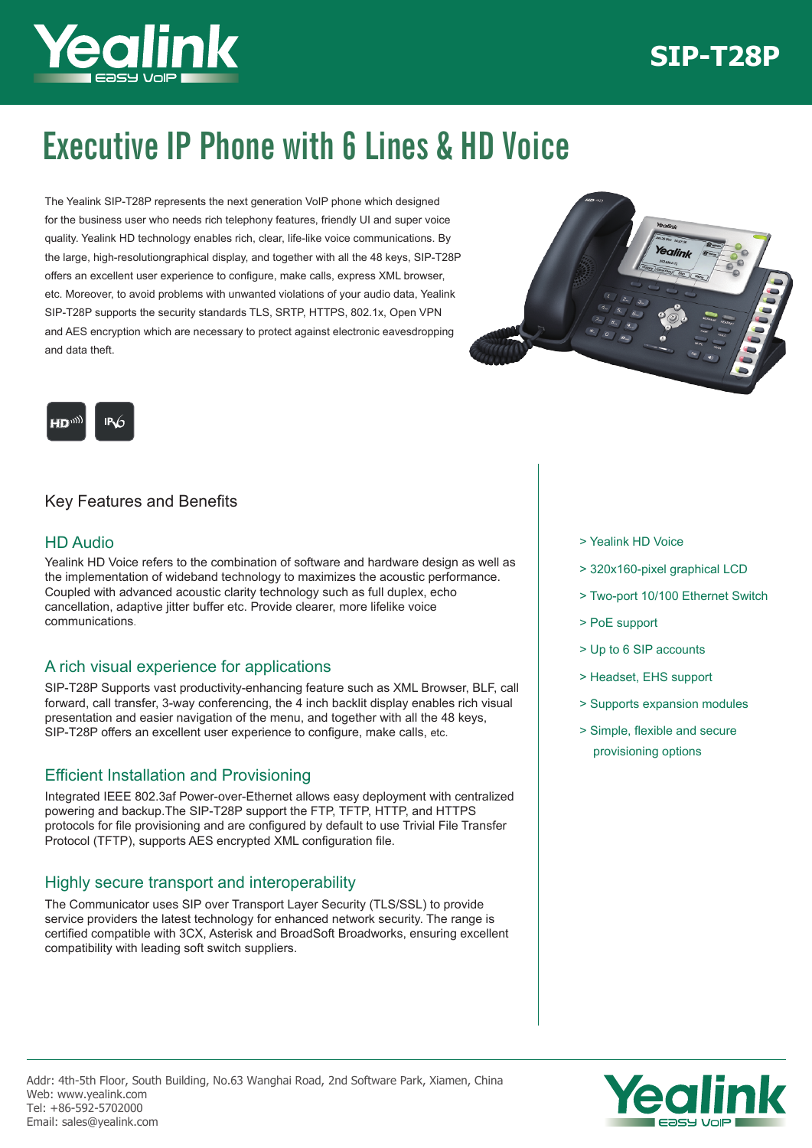# **SIP-T28P**



# Executive IP Phone with 6 Lines & HD Voice

The Yealink SIP-T28P represents the next generation VoIP phone which designed for the business user who needs rich telephony features, friendly UI and super voice quality. Yealink HD technology enables rich, clear, life-like voice communications. By the large, high-resolutiongraphical display, and together with all the 48 keys, SIP-T28P offers an excellent user experience to configure, make calls, express XML browser, etc. Moreover, to avoid problems with unwanted violations of your audio data, Yealink SIP-T28P supports the security standards TLS, SRTP, HTTPS, 802.1x, Open VPN and AES encryption which are necessary to protect against electronic eavesdropping and data theft.





## Key Features and Benefits

## HD Audio

Yealink HD Voice refers to the combination of software and hardware design as well as the implementation of wideband technology to maximizes the acoustic performance. Coupled with advanced acoustic clarity technology such as full duplex, echo cancellation, adaptive jitter buffer etc. Provide clearer, more lifelike voice communications.

## A rich visual experience for applications

SIP-T28P Supports vast productivity-enhancing feature such as XML Browser, BLF, call forward, call transfer, 3-way conferencing, the 4 inch backlit display enables rich visual presentation and easier navigation of the menu, and together with all the 48 keys, SIP-T28P offers an excellent user experience to configure, make calls, etc.

## Efficient Installation and Provisioning

Integrated IEEE 802.3af Power-over-Ethernet allows easy deployment with centralized powering and backup.The SIP-T28P support the FTP, TFTP, HTTP, and HTTPS protocols for file provisioning and are configured by default to use Trivial File Transfer Protocol (TFTP), supports AES encrypted XML configuration file.

### Highly secure transport and interoperability

The Communicator uses SIP over Transport Layer Security (TLS/SSL) to provide service providers the latest technology for enhanced network security. The range is certified compatible with 3CX, Asterisk and BroadSoft Broadworks, ensuring excellent compatibility with leading soft switch suppliers.

- > Yealink HD Voice
- > 320x160-pixel graphical LCD
- > Two-port 10/100 Ethernet Switch
- > PoE support
- > Up to 6 SIP accounts
- > Headset, EHS support
- > Supports expansion modules
- > Simple, flexible and secure provisioning options